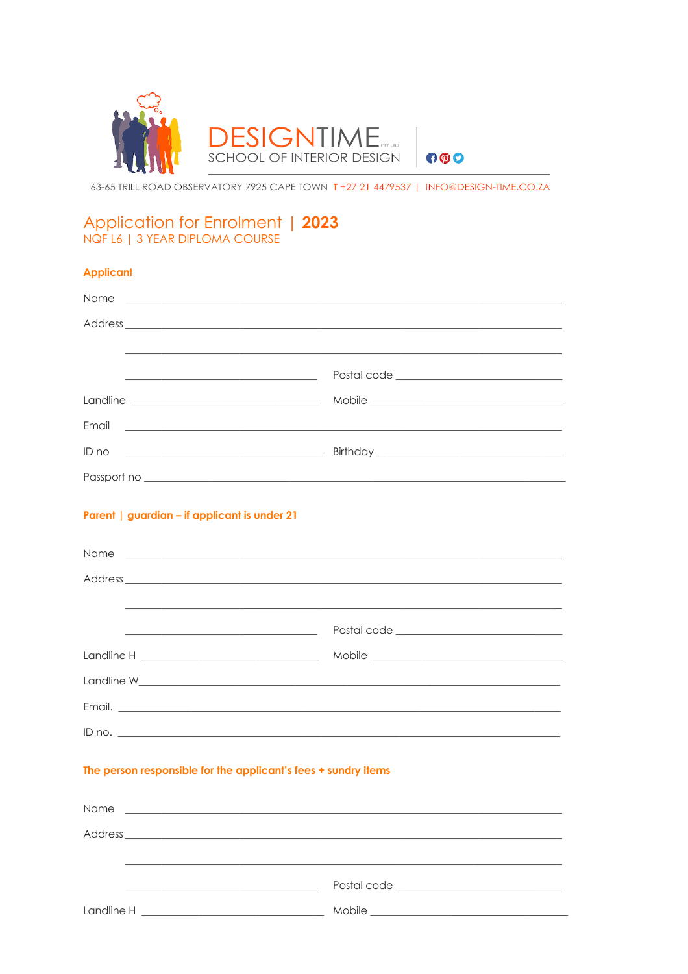

63-65 TRILL ROAD OBSERVATORY 7925 CAPE TOWN T +27 21 4479537 | INFO@DESIGN-TIME.CO.ZA

 $00$ 

## Application for Enrolment | 2023<br>NQF L6 | 3 YEAR DIPLOMA COURSE

| ٠<br>٠ |  |
|--------|--|
|        |  |

| Email | <u> 1999 - Jan Alexander de Carlos III (m. 1958)</u>                                                                                                                                                                           |
|-------|--------------------------------------------------------------------------------------------------------------------------------------------------------------------------------------------------------------------------------|
| ID no |                                                                                                                                                                                                                                |
|       |                                                                                                                                                                                                                                |
|       |                                                                                                                                                                                                                                |
|       | Parent   guardian - if applicant is under 21                                                                                                                                                                                   |
|       |                                                                                                                                                                                                                                |
| Name  | <u> 1989 - Johann Stoff, deutscher Stoffen und der Stoffen und der Stoffen und der Stoffen und der Stoffen und der</u>                                                                                                         |
|       |                                                                                                                                                                                                                                |
|       |                                                                                                                                                                                                                                |
|       | <u> 1989 - Johann John Stone, markin amerikan basar da</u>                                                                                                                                                                     |
|       |                                                                                                                                                                                                                                |
|       |                                                                                                                                                                                                                                |
|       |                                                                                                                                                                                                                                |
|       | $ID$ no. $\Box$                                                                                                                                                                                                                |
|       |                                                                                                                                                                                                                                |
|       | The person responsible for the applicant's fees + sundry items                                                                                                                                                                 |
|       |                                                                                                                                                                                                                                |
| Name  |                                                                                                                                                                                                                                |
|       | Address and the contract of the contract of the contract of the contract of the contract of the contract of the contract of the contract of the contract of the contract of the contract of the contract of the contract of th |
|       |                                                                                                                                                                                                                                |
|       |                                                                                                                                                                                                                                |
|       |                                                                                                                                                                                                                                |
|       |                                                                                                                                                                                                                                |